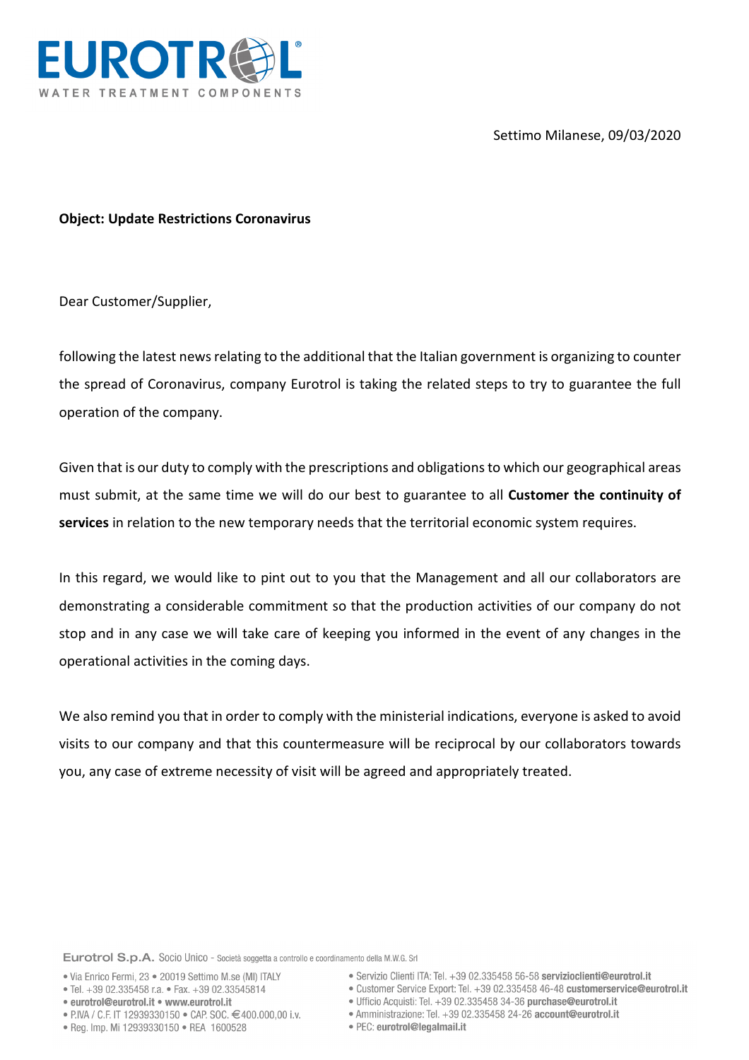Settimo Milanese, 09/03/2020



**Object: Update Restrictions Coronavirus**

Dear Customer/Supplier,

following the latest news relating to the additional that the Italian government is organizing to counter the spread of Coronavirus, company Eurotrol is taking the related steps to try to guarantee the full operation of the company.

Given that is our duty to comply with the prescriptions and obligations to which our geographical areas must submit, at the same time we will do our best to guarantee to all **Customer the continuity of services** in relation to the new temporary needs that the territorial economic system requires.

In this regard, we would like to pint out to you that the Management and all our collaborators are demonstrating a considerable commitment so that the production activities of our company do not stop and in any case we will take care of keeping you informed in the event of any changes in the operational activities in the coming days.

We also remind you that in order to comply with the ministerial indications, everyone is asked to avoid visits to our company and that this countermeasure will be reciprocal by our collaborators towards you, any case of extreme necessity of visit will be agreed and appropriately treated.

Eurotrol S.p.A. Socio Unico - Società soggetta a controllo e coordinamento della M.W.G. Srl

- · Via Enrico Fermi, 23 · 20019 Settimo M.se (MI) ITALY
- Tel. +39 02.335458 r.a. Fax. +39 02.33545814
- eurotrol@eurotrol.it www.eurotrol.it
- 
- PIVA / C.F. IT 12939330150 CAP, SOC, €400,000,00 i.v.
- · Reg. Imp. Mi 12939330150 · REA 1600528
- · Servizio Clienti ITA: Tel. +39 02.335458 56-58 servizioclienti@eurotrol.it
- · Customer Service Export: Tel. +39 02.335458 46-48 customerservice@eurotrol.it
- · Ufficio Acquisti: Tel. +39 02.335458 34-36 purchase@eurotrol.it
- · Amministrazione: Tel. +39 02.335458 24-26 account@eurotrol.it
- · PEC: eurotrol@legalmail.it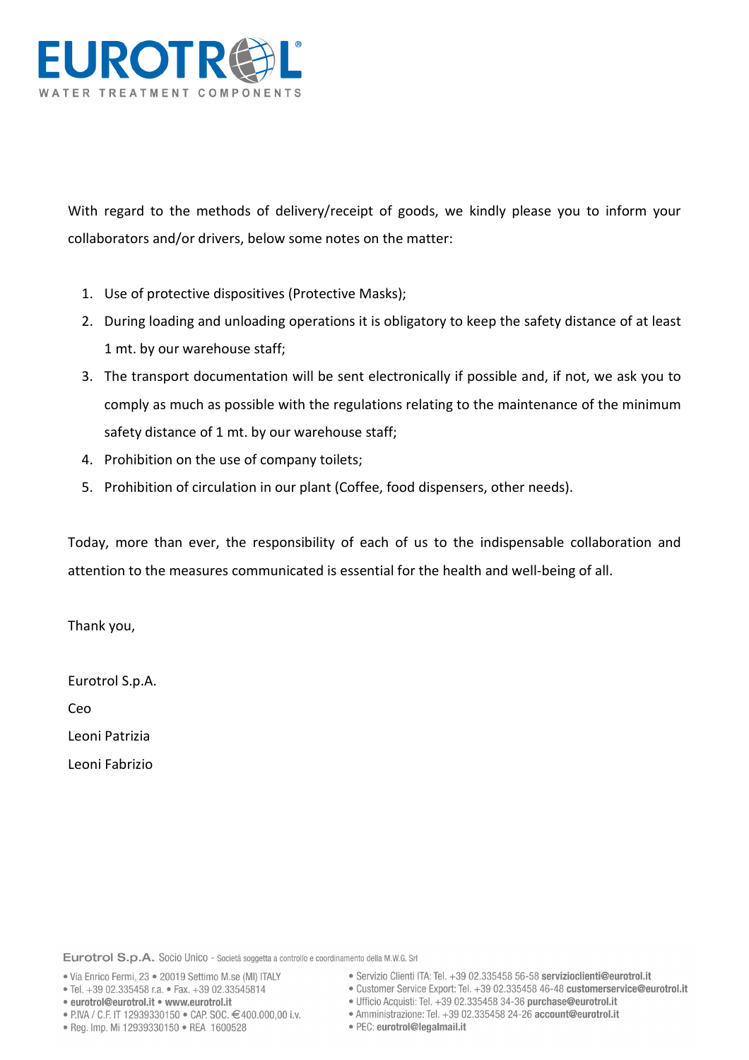

With regard to the methods of delivery/receipt of goods, we kindly please you to inform your collaborators and/or drivers, below some notes on the matter:

- 1. Use of protective dispositives (Protective Masks);
- 2. During loading and unloading operations it is obligatory to keep the safety distance of at least 1 mt. by our warehouse staff;
- 3. The transport documentation will be sent electronically if possible and, if not, we ask you to comply as much as possible with the regulations relating to the maintenance of the minimum safety distance of 1 mt. by our warehouse staff;
- 4. Prohibition on the use of company toilets;
- 5. Prohibition of circulation in our plant (Coffee, food dispensers, other needs).

Today, more than ever, the responsibility of each of us to the indispensable collaboration and attention to the measures communicated is essential for the health and well-being of all.

Thank you,

Eurotrol S.p.A.

Ceo

Leoni Patrizia

Leoni Fabrizio

Eurotrol S.p.A. Socio Unico - Società soggetta a controllo e coordinamento della M.W.G. Srl

- · Via Enrico Fermi, 23 · 20019 Settimo M.se (MI) ITALY
- Tel. +39 02.335458 r.a. Fax. +39 02.33545814
- eurotrol@eurotrol.it www.eurotrol.it
- PIVA / C.F. IT 12939330150 CAP. SOC. €400.000.00 i.v.
- · Reg. Imp. Mi 12939330150 · REA 1600528
- · Servizio Clienti ITA: Tel. +39 02.335458 56-58 servizioclienti@eurotrol.it
- · Customer Service Export: Tel. +39 02.335458 46-48 customerservice@eurotrol.it
- · Ufficio Acquisti: Tel. +39 02.335458 34-36 purchase@eurotrol.it
- Amministrazione: Tel. +39 02.335458 24-26 account@eurotrol.it
- · PEC: eurotrol@legalmail.it